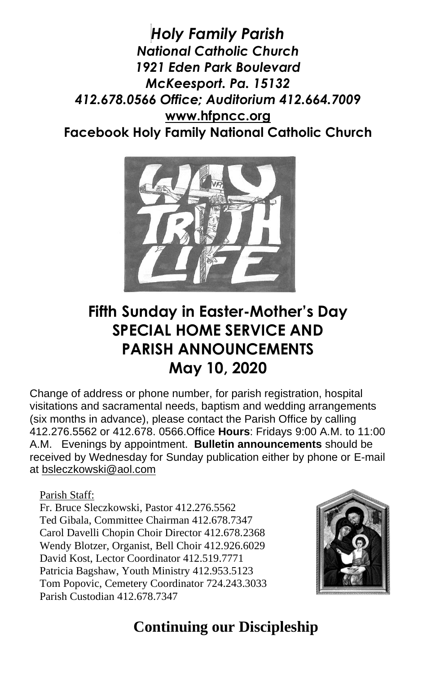*Holy Family Parish National Catholic Church 1921 Eden Park Boulevard McKeesport. Pa. 15132 412.678.0566 Office; Auditorium 412.664.7009* **[www.hfpncc.org](http://www.hfpncc.org/) Facebook Holy Family National Catholic Church**



# **Fifth Sunday in Easter-Mother's Day SPECIAL HOME SERVICE AND PARISH ANNOUNCEMENTS May 10, 2020**

Change of address or phone number, for parish registration, hospital visitations and sacramental needs, baptism and wedding arrangements (six months in advance), please contact the Parish Office by calling 412.276.5562 or 412.678. 0566.Office **Hours**: Fridays 9:00 A.M. to 11:00 A.M. Evenings by appointment. **Bulletin announcements** should be received by Wednesday for Sunday publication either by phone or E-mail at [bsleczkowski@aol.com](mailto:bsleczkowski@aol.com)

Parish Staff:

Fr. Bruce Sleczkowski, Pastor 412.276.5562 Ted Gibala, Committee Chairman 412.678.7347 Carol Davelli Chopin Choir Director 412.678.2368 Wendy Blotzer, Organist, Bell Choir 412.926.6029 David Kost, Lector Coordinator 412.519.7771 Patricia Bagshaw, Youth Ministry 412.953.5123 Tom Popovic, Cemetery Coordinator 724.243.3033 Parish Custodian 412.678.7347



# **Continuing our Discipleship**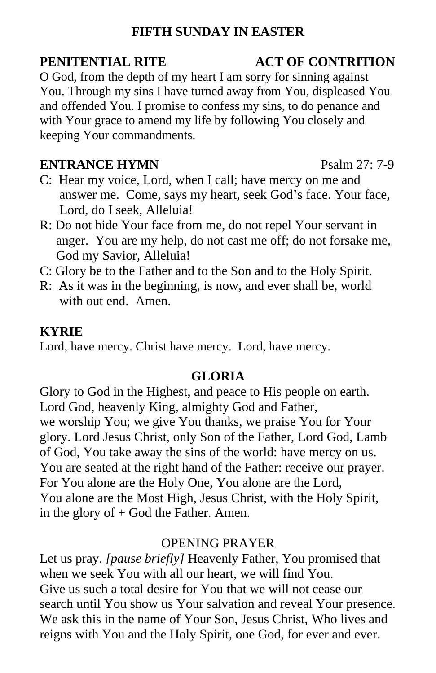### **FIFTH SUNDAY IN EASTER**

O God, from the depth of my heart I am sorry for sinning against You. Through my sins I have turned away from You, displeased You and offended You. I promise to confess my sins, to do penance and with Your grace to amend my life by following You closely and keeping Your commandments.

#### **ENTRANCE HYMN** Psalm 27: 7-9

- C: Hear my voice, Lord, when I call; have mercy on me and answer me. Come, says my heart, seek God's face. Your face, Lord, do I seek, Alleluia!
- R: Do not hide Your face from me, do not repel Your servant in anger. You are my help, do not cast me off; do not forsake me, God my Savior, Alleluia!
- C: Glory be to the Father and to the Son and to the Holy Spirit.
- R: As it was in the beginning, is now, and ever shall be, world with out end. Amen.

#### **KYRIE**

Lord, have mercy. Christ have mercy. Lord, have mercy.

### **GLORIA**

Glory to God in the Highest, and peace to His people on earth. Lord God, heavenly King, almighty God and Father, we worship You; we give You thanks, we praise You for Your glory. Lord Jesus Christ, only Son of the Father, Lord God, Lamb of God, You take away the sins of the world: have mercy on us. You are seated at the right hand of the Father: receive our prayer. For You alone are the Holy One, You alone are the Lord, You alone are the Most High, Jesus Christ, with the Holy Spirit, in the glory of  $+$  God the Father. Amen.

#### OPENING PRAYER

Let us pray. *[pause briefly]* Heavenly Father, You promised that when we seek You with all our heart, we will find You. Give us such a total desire for You that we will not cease our search until You show us Your salvation and reveal Your presence. We ask this in the name of Your Son, Jesus Christ, Who lives and reigns with You and the Holy Spirit, one God, for ever and ever.

#### **PENITENTIAL RITE ACT OF CONTRITION**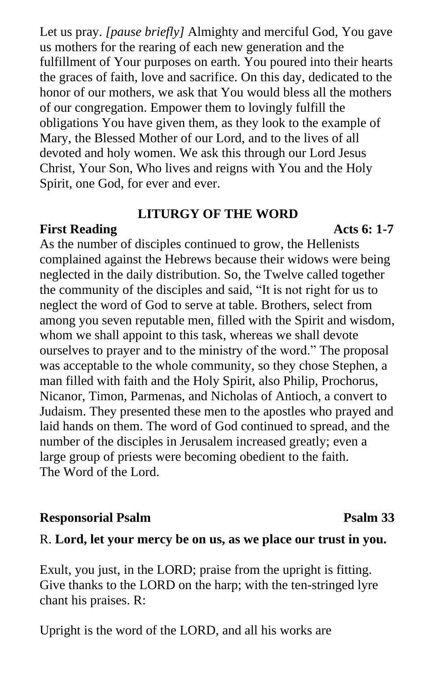Let us pray. *[pause briefly]* Almighty and merciful God, You gave us mothers for the rearing of each new generation and the fulfillment of Your purposes on earth. You poured into their hearts the graces of faith, love and sacrifice. On this day, dedicated to the honor of our mothers, we ask that You would bless all the mothers of our congregation. Empower them to lovingly fulfill the obligations You have given them, as they look to the example of Mary, the Blessed Mother of our Lord, and to the lives of all devoted and holy women. We ask this through our Lord Jesus Christ, Your Son, Who lives and reigns with You and the Holy Spirit, one God, for ever and ever.

#### **LITURGY OF THE WORD**

#### **First Reading Acts 6: 1-7**

As the number of disciples continued to grow, the Hellenists complained against the Hebrews because their widows were being neglected in the daily distribution. So, the Twelve called together the community of the disciples and said, "It is not right for us to neglect the word of God to serve at table. Brothers, select from among you seven reputable men, filled with the Spirit and wisdom, whom we shall appoint to this task, whereas we shall devote ourselves to prayer and to the ministry of the word." The proposal was acceptable to the whole community, so they chose Stephen, a man filled with faith and the Holy Spirit, also Philip, Prochorus, Nicanor, Timon, Parmenas, and Nicholas of Antioch, a convert to Judaism. They presented these men to the apostles who prayed and laid hands on them. The word of God continued to spread, and the number of the disciples in Jerusalem increased greatly; even a large group of priests were becoming obedient to the faith. The Word of the Lord.

#### **Responsorial Psalm 23**

#### R. **Lord, let your mercy be on us, as we place our trust in you.**

Exult, you just, in the LORD; praise from the upright is fitting. Give thanks to the LORD on the harp; with the ten-stringed lyre chant his praises. R:

Upright is the word of the LORD, and all his works are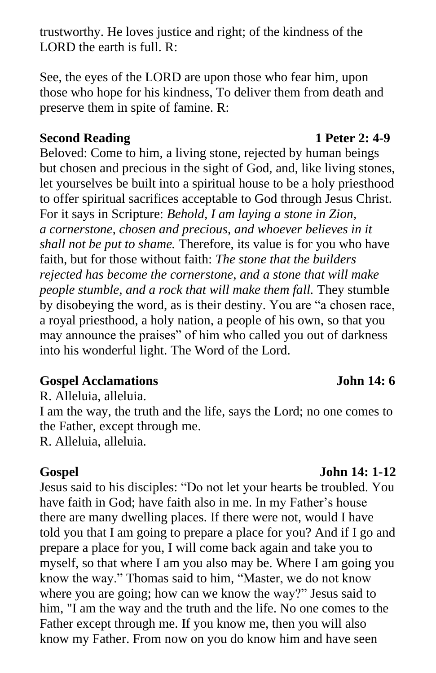trustworthy. He loves justice and right; of the kindness of the LORD the earth is full. R:

See, the eyes of the LORD are upon those who fear him, upon those who hope for his kindness, To deliver them from death and preserve them in spite of famine. R:

#### **Second Reading 1 Peter 2: 4-9**

Beloved: Come to him, a living stone, rejected by human beings but chosen and precious in the sight of God, and, like living stones, let yourselves be built into a spiritual house to be a holy priesthood to offer spiritual sacrifices acceptable to God through Jesus Christ. For it says in Scripture: *Behold, I am laying a stone in Zion, a cornerstone, chosen and precious, and whoever believes in it shall not be put to shame.* Therefore, its value is for you who have faith, but for those without faith: *The stone that the builders rejected has become the cornerstone, and a stone that will make people stumble, and a rock that will make them fall.* They stumble by disobeying the word, as is their destiny. You are "a chosen race, a royal priesthood, a holy nation, a people of his own, so that you may announce the praises" of him who called you out of darkness into his wonderful light. The Word of the Lord.

#### **Gospel Acclamations John 14: 6**

R. Alleluia, alleluia.

I am the way, the truth and the life, says the Lord; no one comes to the Father, except through me.

R. Alleluia, alleluia.

**Gospel John 14: 1-12**

Jesus said to his disciples: "Do not let your hearts be troubled. You have faith in God; have faith also in me. In my Father's house there are many dwelling places. If there were not, would I have told you that I am going to prepare a place for you? And if I go and prepare a place for you, I will come back again and take you to myself, so that where I am you also may be. Where I am going you know the way." Thomas said to him, "Master, we do not know where you are going; how can we know the way?" Jesus said to him, "I am the way and the truth and the life. No one comes to the Father except through me. If you know me, then you will also know my Father. From now on you do know him and have seen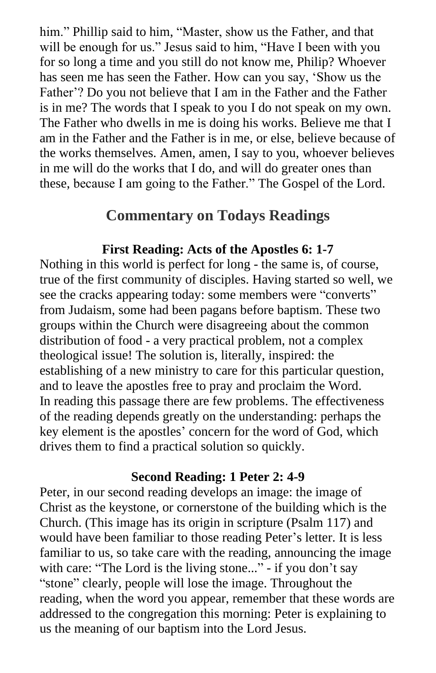him." Phillip said to him, "Master, show us the Father, and that will be enough for us." Jesus said to him, "Have I been with you for so long a time and you still do not know me, Philip? Whoever has seen me has seen the Father. How can you say, 'Show us the Father'? Do you not believe that I am in the Father and the Father is in me? The words that I speak to you I do not speak on my own. The Father who dwells in me is doing his works. Believe me that I am in the Father and the Father is in me, or else, believe because of the works themselves. Amen, amen, I say to you, whoever believes in me will do the works that I do, and will do greater ones than these, because I am going to the Father." The Gospel of the Lord.

### **Commentary on Todays Readings**

#### **First Reading: Acts of the Apostles 6: 1-7**

Nothing in this world is perfect for long - the same is, of course, true of the first community of disciples. Having started so well, we see the cracks appearing today: some members were "converts" from Judaism, some had been pagans before baptism. These two groups within the Church were disagreeing about the common distribution of food - a very practical problem, not a complex theological issue! The solution is, literally, inspired: the establishing of a new ministry to care for this particular question, and to leave the apostles free to pray and proclaim the Word. In reading this passage there are few problems. The effectiveness of the reading depends greatly on the understanding: perhaps the key element is the apostles' concern for the word of God, which drives them to find a practical solution so quickly.

#### **Second Reading: 1 Peter 2: 4-9**

Peter, in our second reading develops an image: the image of Christ as the keystone, or cornerstone of the building which is the Church. (This image has its origin in scripture (Psalm 117) and would have been familiar to those reading Peter's letter. It is less familiar to us, so take care with the reading, announcing the image with care: "The Lord is the living stone..." - if you don't say "stone" clearly, people will lose the image. Throughout the reading, when the word you appear, remember that these words are addressed to the congregation this morning: Peter is explaining to us the meaning of our baptism into the Lord Jesus.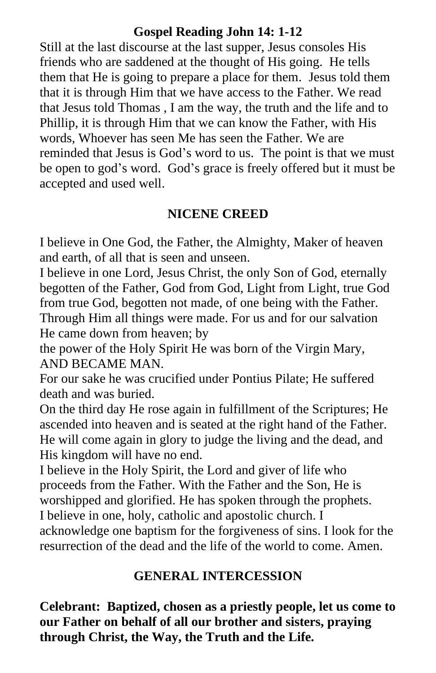#### **Gospel Reading John 14: 1-12**

Still at the last discourse at the last supper, Jesus consoles His friends who are saddened at the thought of His going. He tells them that He is going to prepare a place for them. Jesus told them that it is through Him that we have access to the Father. We read that Jesus told Thomas , I am the way, the truth and the life and to Phillip, it is through Him that we can know the Father, with His words, Whoever has seen Me has seen the Father. We are reminded that Jesus is God's word to us. The point is that we must be open to god's word. God's grace is freely offered but it must be accepted and used well.

#### **NICENE CREED**

I believe in One God, the Father, the Almighty, Maker of heaven and earth, of all that is seen and unseen.

I believe in one Lord, Jesus Christ, the only Son of God, eternally begotten of the Father, God from God, Light from Light, true God from true God, begotten not made, of one being with the Father. Through Him all things were made. For us and for our salvation He came down from heaven; by

the power of the Holy Spirit He was born of the Virgin Mary, AND BECAME MAN.

For our sake he was crucified under Pontius Pilate; He suffered death and was buried.

On the third day He rose again in fulfillment of the Scriptures; He ascended into heaven and is seated at the right hand of the Father. He will come again in glory to judge the living and the dead, and His kingdom will have no end.

I believe in the Holy Spirit, the Lord and giver of life who proceeds from the Father. With the Father and the Son, He is worshipped and glorified. He has spoken through the prophets. I believe in one, holy, catholic and apostolic church. I

acknowledge one baptism for the forgiveness of sins. I look for the resurrection of the dead and the life of the world to come. Amen.

#### **GENERAL INTERCESSION**

**Celebrant: Baptized, chosen as a priestly people, let us come to our Father on behalf of all our brother and sisters, praying through Christ, the Way, the Truth and the Life.**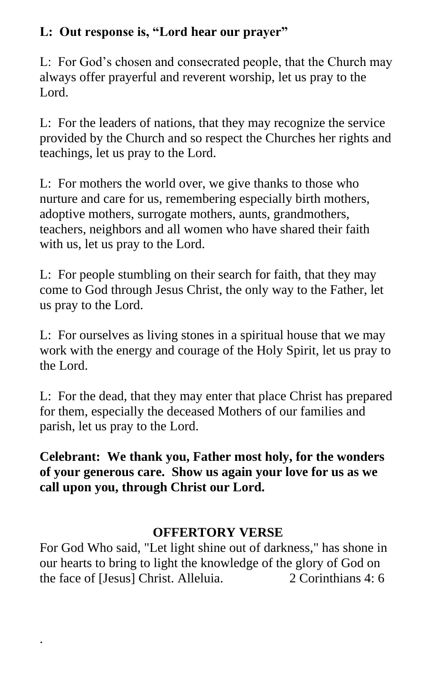### **L: Out response is, "Lord hear our prayer"**

L: For God's chosen and consecrated people, that the Church may always offer prayerful and reverent worship, let us pray to the Lord.

L: For the leaders of nations, that they may recognize the service provided by the Church and so respect the Churches her rights and teachings, let us pray to the Lord.

L: For mothers the world over, we give thanks to those who nurture and care for us, remembering especially birth mothers, adoptive mothers, surrogate mothers, aunts, grandmothers, teachers, neighbors and all women who have shared their faith with us, let us pray to the Lord.

L: For people stumbling on their search for faith, that they may come to God through Jesus Christ, the only way to the Father, let us pray to the Lord.

L: For ourselves as living stones in a spiritual house that we may work with the energy and courage of the Holy Spirit, let us pray to the Lord.

L: For the dead, that they may enter that place Christ has prepared for them, especially the deceased Mothers of our families and parish, let us pray to the Lord.

**Celebrant: We thank you, Father most holy, for the wonders of your generous care. Show us again your love for us as we call upon you, through Christ our Lord.**

### **OFFERTORY VERSE**

For God Who said, "Let light shine out of darkness," has shone in our hearts to bring to light the knowledge of the glory of God on the face of [Jesus] Christ. Alleluia. 2 Corinthians 4: 6

.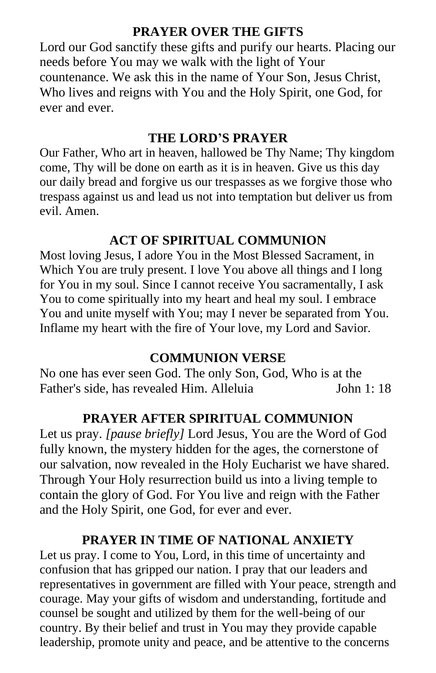### **PRAYER OVER THE GIFTS**

Lord our God sanctify these gifts and purify our hearts. Placing our needs before You may we walk with the light of Your countenance. We ask this in the name of Your Son, Jesus Christ, Who lives and reigns with You and the Holy Spirit, one God, for ever and ever.

#### **THE LORD'S PRAYER**

Our Father, Who art in heaven, hallowed be Thy Name; Thy kingdom come, Thy will be done on earth as it is in heaven. Give us this day our daily bread and forgive us our trespasses as we forgive those who trespass against us and lead us not into temptation but deliver us from evil. Amen.

### **ACT OF SPIRITUAL COMMUNION**

Most loving Jesus, I adore You in the Most Blessed Sacrament, in Which You are truly present. I love You above all things and I long for You in my soul. Since I cannot receive You sacramentally, I ask You to come spiritually into my heart and heal my soul. I embrace You and unite myself with You; may I never be separated from You. Inflame my heart with the fire of Your love, my Lord and Savior.

#### **COMMUNION VERSE**

No one has ever seen God. The only Son, God, Who is at the Father's side, has revealed Him. Alleluia John 1: 18

#### **PRAYER AFTER SPIRITUAL COMMUNION**

Let us pray. *[pause briefly]* Lord Jesus, You are the Word of God fully known, the mystery hidden for the ages, the cornerstone of our salvation, now revealed in the Holy Eucharist we have shared. Through Your Holy resurrection build us into a living temple to contain the glory of God. For You live and reign with the Father and the Holy Spirit, one God, for ever and ever.

#### **PRAYER IN TIME OF NATIONAL ANXIETY**

Let us pray. I come to You, Lord, in this time of uncertainty and confusion that has gripped our nation. I pray that our leaders and representatives in government are filled with Your peace, strength and courage. May your gifts of wisdom and understanding, fortitude and counsel be sought and utilized by them for the well-being of our country. By their belief and trust in You may they provide capable leadership, promote unity and peace, and be attentive to the concerns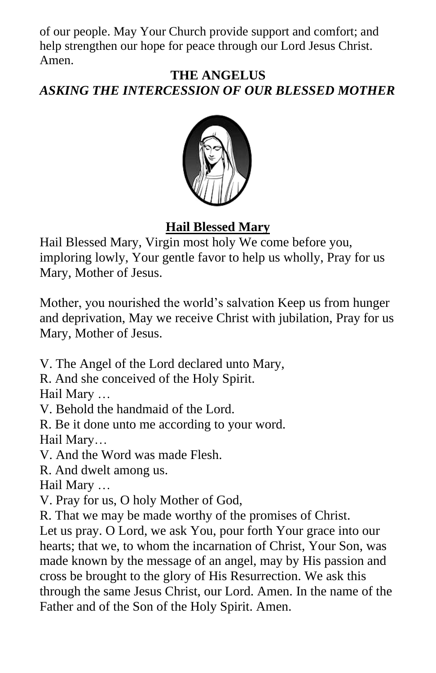of our people. May Your Church provide support and comfort; and help strengthen our hope for peace through our Lord Jesus Christ. Amen.

#### **THE ANGELUS** *ASKING THE INTERCESSION OF OUR BLESSED MOTHER*



### **Hail Blessed Mary**

Hail Blessed Mary, Virgin most holy We come before you, imploring lowly, Your gentle favor to help us wholly, Pray for us Mary, Mother of Jesus.

Mother, you nourished the world's salvation Keep us from hunger and deprivation, May we receive Christ with jubilation, Pray for us Mary, Mother of Jesus.

V. The Angel of the Lord declared unto Mary,

R. And she conceived of the Holy Spirit.

Hail Mary …

V. Behold the handmaid of the Lord.

R. Be it done unto me according to your word. Hail Mary…

V. And the Word was made Flesh.

R. And dwelt among us.

Hail Mary …

V. Pray for us, O holy Mother of God,

R. That we may be made worthy of the promises of Christ.

Let us pray. O Lord, we ask You, pour forth Your grace into our hearts; that we, to whom the incarnation of Christ, Your Son, was made known by the message of an angel, may by His passion and cross be brought to the glory of His Resurrection. We ask this through the same Jesus Christ, our Lord. Amen. In the name of the Father and of the Son of the Holy Spirit. Amen.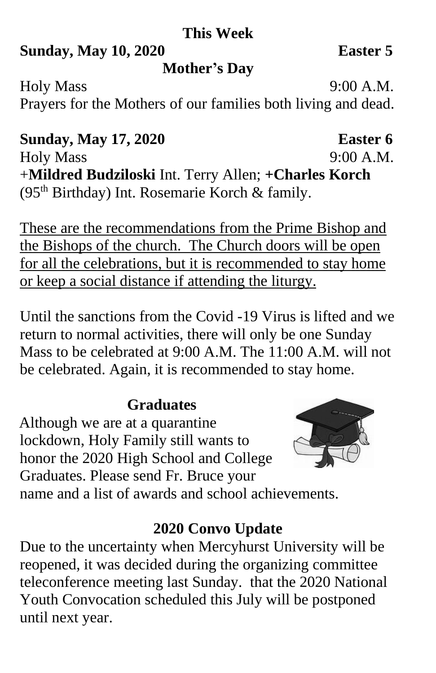# **This Week**

## **Sunday, May 10, 2020 Easter 5**

# **Mother's Day**

Holy Mass 9:00 A.M. Prayers for the Mothers of our families both living and dead.

# **Sunday, May 17, 2020 Easter 6**

Holy Mass 9:00 A.M. +**Mildred Budziloski** Int. Terry Allen; **+Charles Korch** (95th Birthday) Int. Rosemarie Korch & family.

These are the recommendations from the Prime Bishop and the Bishops of the church. The Church doors will be open for all the celebrations, but it is recommended to stay home or keep a social distance if attending the liturgy.

Until the sanctions from the Covid -19 Virus is lifted and we return to normal activities, there will only be one Sunday Mass to be celebrated at 9:00 A.M. The 11:00 A.M. will not be celebrated. Again, it is recommended to stay home.

# **Graduates**

 Although we are at a quarantine lockdown, Holy Family still wants to honor the 2020 High School and College Graduates. Please send Fr. Bruce your name and a list of awards and school achievements.



# **2020 Convo Update**

Due to the uncertainty when Mercyhurst University will be reopened, it was decided during the organizing committee teleconference meeting last Sunday. that the 2020 National Youth Convocation scheduled this July will be postponed until next year.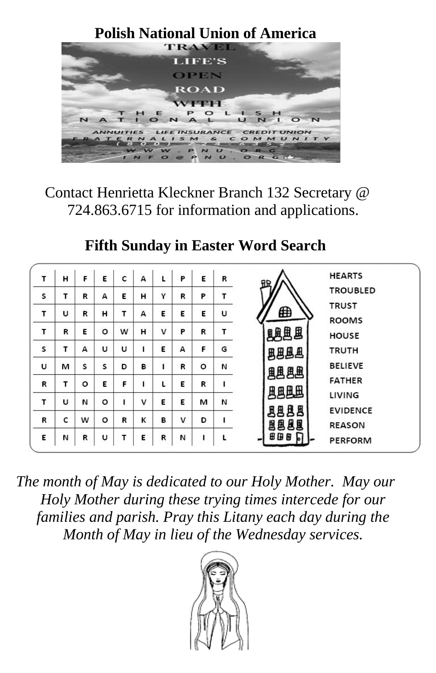

Contact Henrietta Kleckner Branch 132 Secretary @ 724.863.6715 for information and applications.

# **Fifth Sunday in Easter Word Search**

| т | н | F | E       | c | А | L | P | E | R | RD.        | <b>HEARTS</b>   |
|---|---|---|---------|---|---|---|---|---|---|------------|-----------------|
| s | т | R | А       | E | н | γ | R | P |   |            | <b>TROUBLED</b> |
| т | U |   | Н       | т |   | E | E | E | U | ⊕          | <b>TRUST</b>    |
|   |   | R |         |   | А |   |   |   |   |            | <b>ROOMS</b>    |
| T | R | Ε | $\circ$ | W | н | v | P | R | т | <b>明思思</b> | <b>HOUSE</b>    |
| s | т | А | U       | U |   | E | А | F | G | 思思思思       | TRUTH           |
| U | м | s | s       | D | в |   | R | о | И | 風遇遇        | <b>BELIEVE</b>  |
| R | т | o | E       | F |   | ι | E | R |   |            | <b>FATHER</b>   |
| т | U | N | $\circ$ |   | v | Ε | Ε | м | N | 風風風        | LIVING          |
|   |   |   |         |   |   |   |   |   |   | 圆圆圆<br>風   | <b>EVIDENCE</b> |
| R | c | w | o       | R | к | в | v | D |   | 围围围围       | <b>REASON</b>   |
| Ε | И | R | U       | т | E | R | N |   |   | ⊞<br>69 B  | <b>PERFORM</b>  |

*The month of May is dedicated to our Holy Mother. May our Holy Mother during these trying times intercede for our families and parish. Pray this Litany each day during the Month of May in lieu of the Wednesday services.*

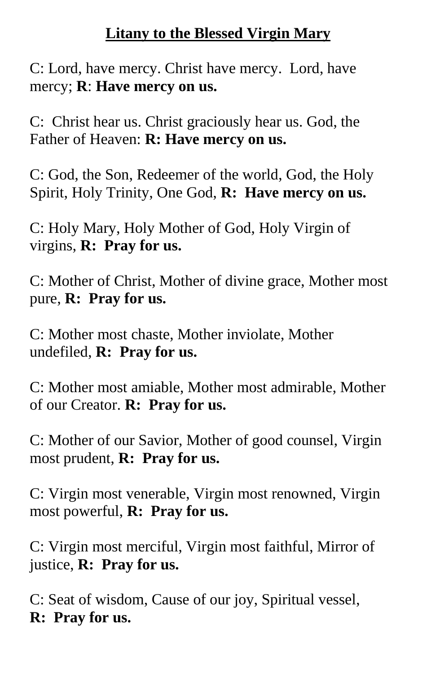# **Litany to the Blessed Virgin Mary**

C: Lord, have mercy. Christ have mercy. Lord, have mercy; **R**: **Have mercy on us.**

C: Christ hear us. Christ graciously hear us. God, the Father of Heaven: **R: Have mercy on us.** 

C: God, the Son, Redeemer of the world, God, the Holy Spirit, Holy Trinity, One God, **R: Have mercy on us.**

C: Holy Mary, Holy Mother of God, Holy Virgin of virgins, **R: Pray for us.**

C: Mother of Christ, Mother of divine grace, Mother most pure, **R: Pray for us.**

C: Mother most chaste, Mother inviolate, Mother undefiled, **R: Pray for us.**

C: Mother most amiable, Mother most admirable, Mother of our Creator. **R: Pray for us.**

C: Mother of our Savior, Mother of good counsel, Virgin most prudent, **R: Pray for us.**

C: Virgin most venerable, Virgin most renowned, Virgin most powerful, **R: Pray for us.**

C: Virgin most merciful, Virgin most faithful, Mirror of justice, **R: Pray for us.**

C: Seat of wisdom, Cause of our joy, Spiritual vessel, **R: Pray for us.**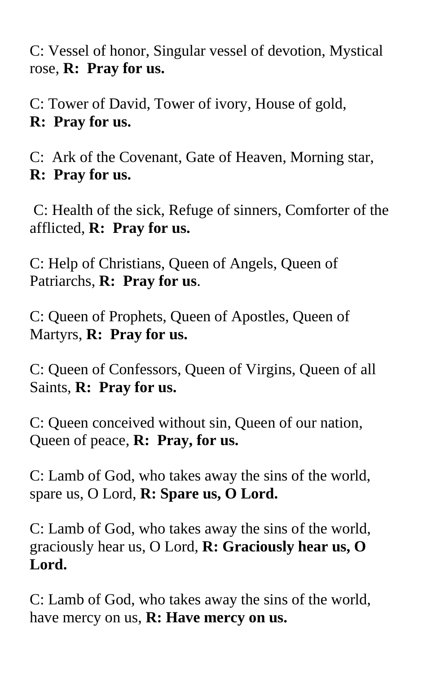C: Vessel of honor, Singular vessel of devotion, Mystical rose, **R: Pray for us.**

C: Tower of David, Tower of ivory, House of gold, **R: Pray for us.**

C: Ark of the Covenant, Gate of Heaven, Morning star, **R: Pray for us.**

C: Health of the sick, Refuge of sinners, Comforter of the afflicted, **R: Pray for us.** 

C: Help of Christians, Queen of Angels, Queen of Patriarchs, **R: Pray for us**.

C: Queen of Prophets, Queen of Apostles, Queen of Martyrs, **R: Pray for us.**

C: Queen of Confessors, Queen of Virgins, Queen of all Saints, **R: Pray for us.**

C: Queen conceived without sin, Queen of our nation, Queen of peace, **R: Pray, for us.**

C: Lamb of God, who takes away the sins of the world, spare us, O Lord, **R: Spare us, O Lord.**

C: Lamb of God, who takes away the sins of the world, graciously hear us, O Lord, **R: Graciously hear us, O Lord.** 

C: Lamb of God, who takes away the sins of the world, have mercy on us, **R: Have mercy on us.**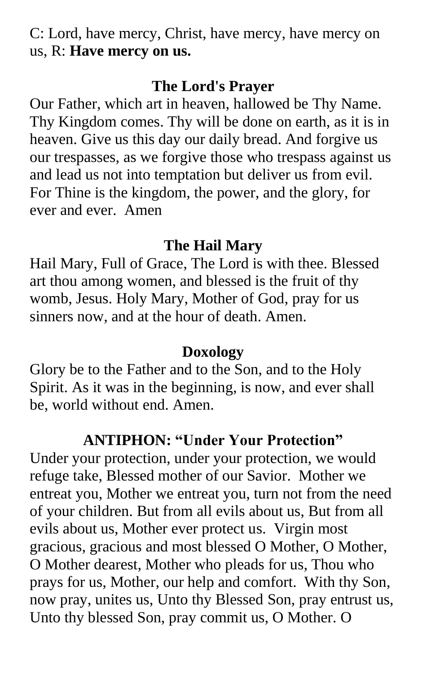C: Lord, have mercy, Christ, have mercy, have mercy on us, R: **Have mercy on us.**

### **The Lord's Prayer**

Our Father, which art in heaven, hallowed be Thy Name. Thy Kingdom comes. Thy will be done on earth, as it is in heaven. Give us this day our daily bread. And forgive us our trespasses, as we forgive those who trespass against us and lead us not into temptation but deliver us from evil. For Thine is the kingdom, the power, and the glory, for ever and ever. Amen

### **The Hail Mary**

Hail Mary, Full of Grace, The Lord is with thee. Blessed art thou among women, and blessed is the fruit of thy womb, Jesus. Holy Mary, Mother of God, pray for us sinners now, and at the hour of death. Amen.

# **Doxology**

Glory be to the Father and to the Son, and to the Holy Spirit. As it was in the beginning, is now, and ever shall be, world without end. Amen.

# **ANTIPHON: "Under Your Protection"**

Under your protection, under your protection, we would refuge take, Blessed mother of our Savior. Mother we entreat you, Mother we entreat you, turn not from the need of your children. But from all evils about us, But from all evils about us, Mother ever protect us. Virgin most gracious, gracious and most blessed O Mother, O Mother, O Mother dearest, Mother who pleads for us, Thou who prays for us, Mother, our help and comfort. With thy Son, now pray, unites us, Unto thy Blessed Son, pray entrust us, Unto thy blessed Son, pray commit us, O Mother. O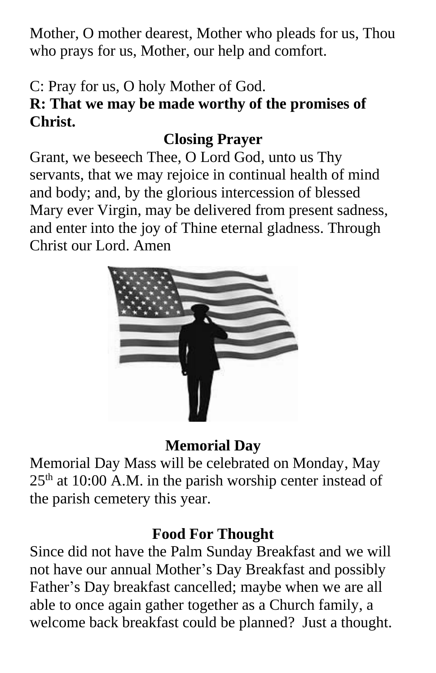Mother, O mother dearest, Mother who pleads for us, Thou who prays for us, Mother, our help and comfort.

# C: Pray for us, O holy Mother of God.

# **R: That we may be made worthy of the promises of Christ.**

# **Closing Prayer**

Grant, we beseech Thee, O Lord God, unto us Thy servants, that we may rejoice in continual health of mind and body; and, by the glorious intercession of blessed Mary ever Virgin, may be delivered from present sadness, and enter into the joy of Thine eternal gladness. Through Christ our Lord. Amen



# **Memorial Day**

Memorial Day Mass will be celebrated on Monday, May  $25<sup>th</sup>$  at 10:00 A.M. in the parish worship center instead of the parish cemetery this year.

# **Food For Thought**

Since did not have the Palm Sunday Breakfast and we will not have our annual Mother's Day Breakfast and possibly Father's Day breakfast cancelled; maybe when we are all able to once again gather together as a Church family, a welcome back breakfast could be planned? Just a thought.